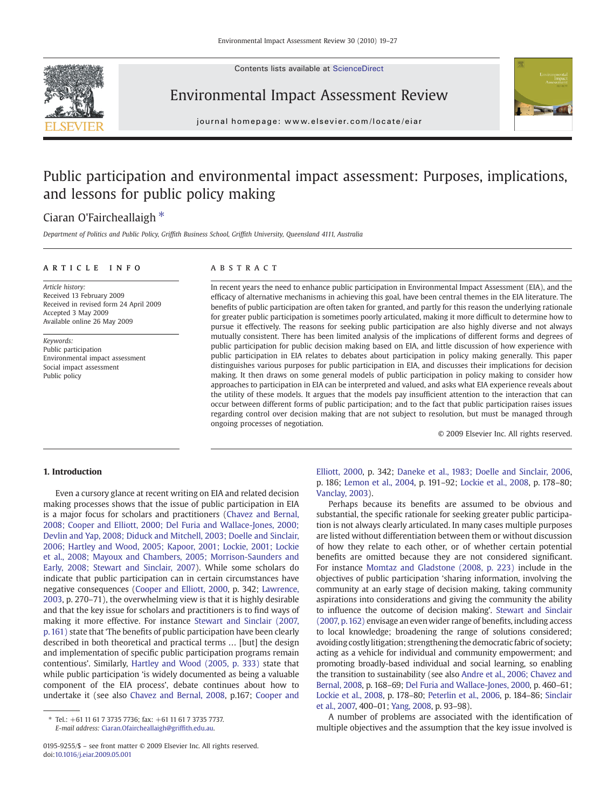Contents lists available at ScienceDirect



Environmental Impact Assessment Review



journal homepage: www.elsevier.com/locate/eiar

# Public participation and environmental impact assessment: Purposes, implications, and lessons for public policy making

## Ciaran O'Faircheallaigh<sup>\*</sup>

Department of Politics and Public Policy, Griffith Business School, Griffith University, Queensland 4111, Australia

### article info abstract

Article history: Received 13 February 2009 Received in revised form 24 April 2009 Accepted 3 May 2009 Available online 26 May 2009

Keywords: Public participation Environmental impact assessment Social impact assessment Public policy

In recent years the need to enhance public participation in Environmental Impact Assessment (EIA), and the efficacy of alternative mechanisms in achieving this goal, have been central themes in the EIA literature. The benefits of public participation are often taken for granted, and partly for this reason the underlying rationale for greater public participation is sometimes poorly articulated, making it more difficult to determine how to pursue it effectively. The reasons for seeking public participation are also highly diverse and not always mutually consistent. There has been limited analysis of the implications of different forms and degrees of public participation for public decision making based on EIA, and little discussion of how experience with public participation in EIA relates to debates about participation in policy making generally. This paper distinguishes various purposes for public participation in EIA, and discusses their implications for decision making. It then draws on some general models of public participation in policy making to consider how approaches to participation in EIA can be interpreted and valued, and asks what EIA experience reveals about the utility of these models. It argues that the models pay insufficient attention to the interaction that can occur between different forms of public participation; and to the fact that public participation raises issues regarding control over decision making that are not subject to resolution, but must be managed through ongoing processes of negotiation.

© 2009 Elsevier Inc. All rights reserved.

#### 1. Introduction

Even a cursory glance at recent writing on EIA and related decision making processes shows that the issue of public participation in EIA is a major focus for scholars and practitioners ([Chavez and Bernal,](#page-7-0) [2008; Cooper and Elliott, 2000; Del Furia and Wallace-Jones, 2000;](#page-7-0) [Devlin and Yap, 2008; Diduck and Mitchell, 2003; Doelle and Sinclair,](#page-7-0) [2006; Hartley and Wood, 2005; Kapoor, 2001; Lockie, 2001; Lockie](#page-7-0) [et al., 2008; Mayoux and Chambers, 2005; Morrison-Saunders and](#page-7-0) [Early, 2008; Stewart and Sinclair, 2007\)](#page-7-0). While some scholars do indicate that public participation can in certain circumstances have negative consequences ([Cooper and Elliott, 2000](#page-7-0), p. 342; [Lawrence,](#page-7-0) [2003](#page-7-0), p. 270–71), the overwhelming view is that it is highly desirable and that the key issue for scholars and practitioners is to find ways of making it more effective. For instance [Stewart and Sinclair \(2007,](#page-8-0) [p. 161\)](#page-8-0) state that 'The benefits of public participation have been clearly described in both theoretical and practical terms … [but] the design and implementation of specific public participation programs remain contentious'. Similarly, [Hartley and Wood \(2005, p. 333\)](#page-7-0) state that while public participation 'is widely documented as being a valuable component of the EIA process', debate continues about how to undertake it (see also [Chavez and Bernal, 2008,](#page-7-0) p.167; [Cooper and](#page-7-0)

[Elliott, 2000,](#page-7-0) p. 342; [Daneke et al., 1983; Doelle and Sinclair, 2006,](#page-7-0) p. 186; [Lemon et al., 2004](#page-7-0), p. 191–92; [Lockie et al., 2008,](#page-7-0) p. 178–80; [Vanclay, 2003](#page-8-0)).

Perhaps because its benefits are assumed to be obvious and substantial, the specific rationale for seeking greater public participation is not always clearly articulated. In many cases multiple purposes are listed without differentiation between them or without discussion of how they relate to each other, or of whether certain potential benefits are omitted because they are not considered significant. For instance [Momtaz and Gladstone \(2008, p. 223\)](#page-7-0) include in the objectives of public participation 'sharing information, involving the community at an early stage of decision making, taking community aspirations into considerations and giving the community the ability to influence the outcome of decision making'. [Stewart and Sinclair](#page-8-0) [\(2007, p.162\)](#page-8-0) envisage an even wider range of benefits, including access to local knowledge; broadening the range of solutions considered; avoiding costly litigation; strengthening the democratic fabric of society; acting as a vehicle for individual and community empowerment; and promoting broadly-based individual and social learning, so enabling the transition to sustainability (see also [Andre et al., 2006; Chavez and](#page-7-0) [Bernal, 2008](#page-7-0), p. 168–69; [Del Furia and Wallace-Jones, 2000,](#page-7-0) p. 460–61; [Lockie et al., 2008,](#page-7-0) p. 178–80; [Peterlin et al., 2006,](#page-7-0) p. 184–86; [Sinclair](#page-8-0) [et al., 2007,](#page-8-0) 400–01; [Yang, 2008](#page-8-0), p. 93–98).

A number of problems are associated with the identification of multiple objectives and the assumption that the key issue involved is

<sup>⁎</sup> Tel.: +61 11 61 7 3735 7736; fax: +61 11 61 7 3735 7737. E-mail address: [Ciaran.Ofaircheallaigh@grif](mailto:Ciaran.Ofaircheallaigh@griffith.edu.au)fith.edu.au.

<sup>0195-9255/\$</sup> – see front matter © 2009 Elsevier Inc. All rights reserved. doi:[10.1016/j.eiar.2009.05.001](http://dx.doi.org/10.1016/j.eiar.2009.05.001)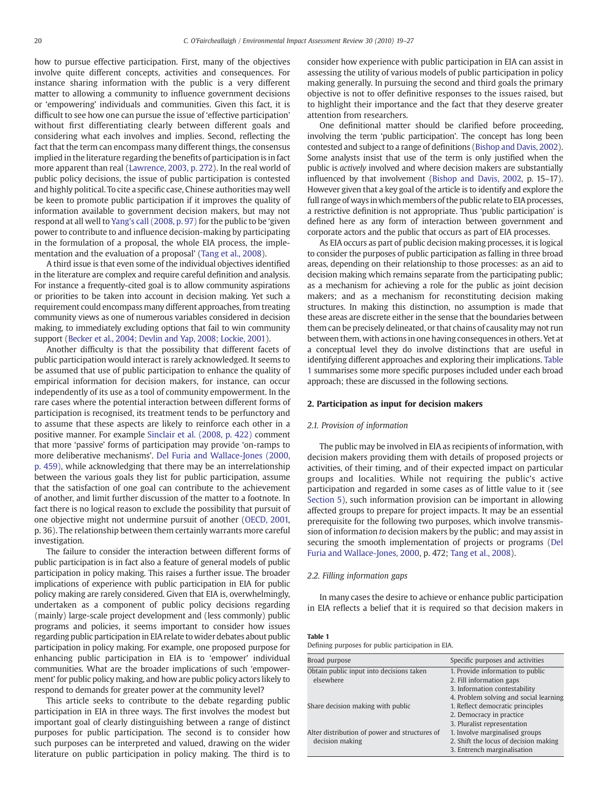<span id="page-1-0"></span>how to pursue effective participation. First, many of the objectives involve quite different concepts, activities and consequences. For instance sharing information with the public is a very different matter to allowing a community to influence government decisions or 'empowering' individuals and communities. Given this fact, it is difficult to see how one can pursue the issue of 'effective participation' without first differentiating clearly between different goals and considering what each involves and implies. Second, reflecting the fact that the term can encompass many different things, the consensus implied in the literature regarding the benefits of participation is in fact more apparent than real ([Lawrence, 2003, p. 272\)](#page-7-0). In the real world of public policy decisions, the issue of public participation is contested and highly political. To cite a specific case, Chinese authorities may well be keen to promote public participation if it improves the quality of information available to government decision makers, but may not respond at all well to [Yang's call \(2008, p. 97\)](#page-8-0) for the public to be 'given power to contribute to and influence decision-making by participating in the formulation of a proposal, the whole EIA process, the implementation and the evaluation of a proposal' ([Tang et al., 2008\)](#page-8-0).

A third issue is that even some of the individual objectives identified in the literature are complex and require careful definition and analysis. For instance a frequently-cited goal is to allow community aspirations or priorities to be taken into account in decision making. Yet such a requirement could encompass many different approaches, from treating community views as one of numerous variables considered in decision making, to immediately excluding options that fail to win community support [\(Becker et al., 2004; Devlin and Yap, 2008; Lockie, 2001\)](#page-7-0).

Another difficulty is that the possibility that different facets of public participation would interact is rarely acknowledged. It seems to be assumed that use of public participation to enhance the quality of empirical information for decision makers, for instance, can occur independently of its use as a tool of community empowerment. In the rare cases where the potential interaction between different forms of participation is recognised, its treatment tends to be perfunctory and to assume that these aspects are likely to reinforce each other in a positive manner. For example [Sinclair et al. \(2008, p. 422\)](#page-8-0) comment that more 'passive' forms of participation may provide 'on-ramps to more deliberative mechanisms'. [Del Furia and Wallace-Jones \(2000,](#page-7-0) [p. 459\),](#page-7-0) while acknowledging that there may be an interrelationship between the various goals they list for public participation, assume that the satisfaction of one goal can contribute to the achievement of another, and limit further discussion of the matter to a footnote. In fact there is no logical reason to exclude the possibility that pursuit of one objective might not undermine pursuit of another [\(OECD, 2001,](#page-7-0) p. 36). The relationship between them certainly warrants more careful investigation.

The failure to consider the interaction between different forms of public participation is in fact also a feature of general models of public participation in policy making. This raises a further issue. The broader implications of experience with public participation in EIA for public policy making are rarely considered. Given that EIA is, overwhelmingly, undertaken as a component of public policy decisions regarding (mainly) large-scale project development and (less commonly) public programs and policies, it seems important to consider how issues regarding public participation in EIA relate to wider debates about public participation in policy making. For example, one proposed purpose for enhancing public participation in EIA is to 'empower' individual communities. What are the broader implications of such 'empowerment' for public policy making, and how are public policy actors likely to respond to demands for greater power at the community level?

This article seeks to contribute to the debate regarding public participation in EIA in three ways. The first involves the modest but important goal of clearly distinguishing between a range of distinct purposes for public participation. The second is to consider how such purposes can be interpreted and valued, drawing on the wider literature on public participation in policy making. The third is to consider how experience with public participation in EIA can assist in assessing the utility of various models of public participation in policy making generally. In pursuing the second and third goals the primary objective is not to offer definitive responses to the issues raised, but to highlight their importance and the fact that they deserve greater attention from researchers.

One definitional matter should be clarified before proceeding, involving the term 'public participation'. The concept has long been contested and subject to a range of definitions ([Bishop and Davis, 2002\)](#page-7-0). Some analysts insist that use of the term is only justified when the public is actively involved and where decision makers are substantially influenced by that involvement [\(Bishop and Davis, 2002,](#page-7-0) p. 15–17). However given that a key goal of the article is to identify and explore the full range of ways in which members of the public relate to EIA processes, a restrictive definition is not appropriate. Thus 'public participation' is defined here as any form of interaction between government and corporate actors and the public that occurs as part of EIA processes.

As EIA occurs as part of public decision making processes, it is logical to consider the purposes of public participation as falling in three broad areas, depending on their relationship to those processes: as an aid to decision making which remains separate from the participating public; as a mechanism for achieving a role for the public as joint decision makers; and as a mechanism for reconstituting decision making structures. In making this distinction, no assumption is made that these areas are discrete either in the sense that the boundaries between them can be precisely delineated, or that chains of causality may not run between them, with actions in one having consequences in others. Yet at a conceptual level they do involve distinctions that are useful in identifying different approaches and exploring their implications. Table 1 summarises some more specific purposes included under each broad approach; these are discussed in the following sections.

#### 2. Participation as input for decision makers

#### 2.1. Provision of information

The public may be involved in EIA as recipients of information, with decision makers providing them with details of proposed projects or activities, of their timing, and of their expected impact on particular groups and localities. While not requiring the public's active participation and regarded in some cases as of little value to it (see [Section 5\)](#page-4-0), such information provision can be important in allowing affected groups to prepare for project impacts. It may be an essential prerequisite for the following two purposes, which involve transmission of information to decision makers by the public; and may assist in securing the smooth implementation of projects or programs ([Del](#page-7-0) [Furia and Wallace-Jones, 2000,](#page-7-0) p. 472; [Tang et al., 2008](#page-8-0)).

#### 2.2. Filling information gaps

In many cases the desire to achieve or enhance public participation in EIA reflects a belief that it is required so that decision makers in

| <b>Table 1</b> |                                                    |  |  |  |
|----------------|----------------------------------------------------|--|--|--|
|                | Defining purposes for public participation in EIA. |  |  |  |

Table 1

| Broad purpose                                 | Specific purposes and activities       |
|-----------------------------------------------|----------------------------------------|
| Obtain public input into decisions taken      | 1. Provide information to public       |
| elsewhere                                     | 2. Fill information gaps               |
|                                               | 3. Information contestability          |
|                                               | 4. Problem solving and social learning |
| Share decision making with public             | 1. Reflect democratic principles       |
|                                               | 2. Democracy in practice               |
|                                               | 3. Pluralist representation            |
| Alter distribution of power and structures of | 1. Involve marginalised groups         |
| decision making                               | 2. Shift the locus of decision making  |
|                                               | 3. Entrench marginalisation            |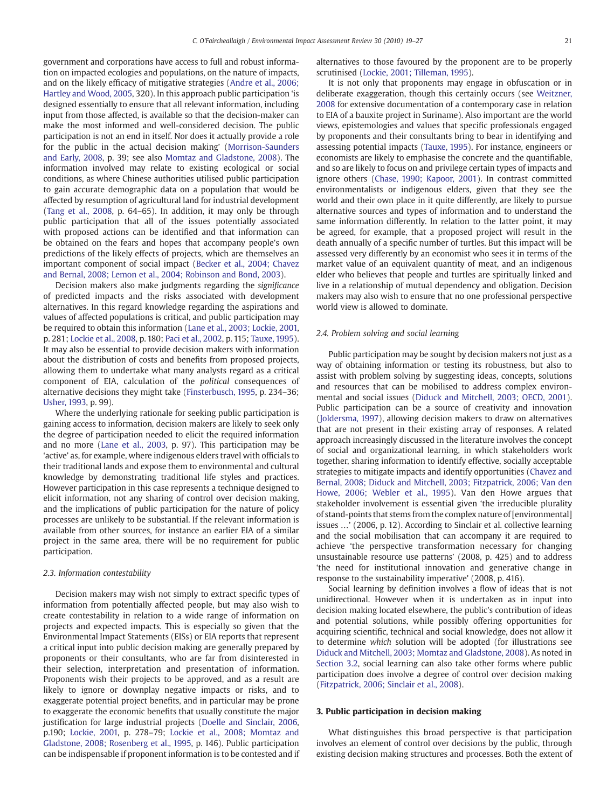government and corporations have access to full and robust information on impacted ecologies and populations, on the nature of impacts, and on the likely efficacy of mitigative strategies ([Andre et al., 2006;](#page-7-0) [Hartley and Wood, 2005,](#page-7-0) 320). In this approach public participation 'is designed essentially to ensure that all relevant information, including input from those affected, is available so that the decision-maker can make the most informed and well-considered decision. The public participation is not an end in itself. Nor does it actually provide a role for the public in the actual decision making' ([Morrison-Saunders](#page-7-0) [and Early, 2008](#page-7-0), p. 39; see also [Momtaz and Gladstone, 2008\)](#page-7-0). The information involved may relate to existing ecological or social conditions, as where Chinese authorities utilised public participation to gain accurate demographic data on a population that would be affected by resumption of agricultural land for industrial development [\(Tang et al., 2008,](#page-8-0) p. 64–65). In addition, it may only be through public participation that all of the issues potentially associated with proposed actions can be identified and that information can be obtained on the fears and hopes that accompany people's own predictions of the likely effects of projects, which are themselves an important component of social impact ([Becker et al., 2004; Chavez](#page-7-0) [and Bernal, 2008; Lemon et al., 2004; Robinson and Bond, 2003](#page-7-0)).

Decision makers also make judgments regarding the significance of predicted impacts and the risks associated with development alternatives. In this regard knowledge regarding the aspirations and values of affected populations is critical, and public participation may be required to obtain this information ([Lane et al., 2003; Lockie, 2001,](#page-7-0) p. 281; [Lockie et al., 2008](#page-7-0), p. 180; [Paci et al., 2002,](#page-7-0) p. 115; [Tauxe, 1995](#page-8-0)). It may also be essential to provide decision makers with information about the distribution of costs and benefits from proposed projects, allowing them to undertake what many analysts regard as a critical component of EIA, calculation of the political consequences of alternative decisions they might take [\(Finsterbusch, 1995,](#page-7-0) p. 234–36; [Usher, 1993](#page-8-0), p. 99).

Where the underlying rationale for seeking public participation is gaining access to information, decision makers are likely to seek only the degree of participation needed to elicit the required information and no more [\(Lane et al., 2003,](#page-7-0) p. 97). This participation may be 'active' as, for example, where indigenous elders travel with officials to their traditional lands and expose them to environmental and cultural knowledge by demonstrating traditional life styles and practices. However participation in this case represents a technique designed to elicit information, not any sharing of control over decision making, and the implications of public participation for the nature of policy processes are unlikely to be substantial. If the relevant information is available from other sources, for instance an earlier EIA of a similar project in the same area, there will be no requirement for public participation.

#### 2.3. Information contestability

Decision makers may wish not simply to extract specific types of information from potentially affected people, but may also wish to create contestability in relation to a wide range of information on projects and expected impacts. This is especially so given that the Environmental Impact Statements (EISs) or EIA reports that represent a critical input into public decision making are generally prepared by proponents or their consultants, who are far from disinterested in their selection, interpretation and presentation of information. Proponents wish their projects to be approved, and as a result are likely to ignore or downplay negative impacts or risks, and to exaggerate potential project benefits, and in particular may be prone to exaggerate the economic benefits that usually constitute the major justification for large industrial projects [\(Doelle and Sinclair, 2006,](#page-7-0) p.190; [Lockie, 2001,](#page-7-0) p. 278–79; [Lockie et al., 2008; Momtaz and](#page-7-0) [Gladstone, 2008; Rosenberg et al., 1995,](#page-7-0) p. 146). Public participation can be indispensable if proponent information is to be contested and if alternatives to those favoured by the proponent are to be properly scrutinised [\(Lockie, 2001; Tilleman, 1995\)](#page-7-0).

It is not only that proponents may engage in obfuscation or in deliberate exaggeration, though this certainly occurs (see [Weitzner,](#page-8-0) [2008](#page-8-0) for extensive documentation of a contemporary case in relation to EIA of a bauxite project in Suriname). Also important are the world views, epistemologies and values that specific professionals engaged by proponents and their consultants bring to bear in identifying and assessing potential impacts [\(Tauxe, 1995](#page-8-0)). For instance, engineers or economists are likely to emphasise the concrete and the quantifiable, and so are likely to focus on and privilege certain types of impacts and ignore others ([Chase, 1990; Kapoor, 2001](#page-7-0)). In contrast committed environmentalists or indigenous elders, given that they see the world and their own place in it quite differently, are likely to pursue alternative sources and types of information and to understand the same information differently. In relation to the latter point, it may be agreed, for example, that a proposed project will result in the death annually of a specific number of turtles. But this impact will be assessed very differently by an economist who sees it in terms of the market value of an equivalent quantity of meat, and an indigenous elder who believes that people and turtles are spiritually linked and live in a relationship of mutual dependency and obligation. Decision makers may also wish to ensure that no one professional perspective world view is allowed to dominate.

#### 2.4. Problem solving and social learning

Public participation may be sought by decision makers not just as a way of obtaining information or testing its robustness, but also to assist with problem solving by suggesting ideas, concepts, solutions and resources that can be mobilised to address complex environmental and social issues ([Diduck and Mitchell, 2003; OECD, 2001](#page-7-0)). Public participation can be a source of creativity and innovation [\(Joldersma, 1997\)](#page-7-0), allowing decision makers to draw on alternatives that are not present in their existing array of responses. A related approach increasingly discussed in the literature involves the concept of social and organizational learning, in which stakeholders work together, sharing information to identify effective, socially acceptable strategies to mitigate impacts and identify opportunities [\(Chavez and](#page-7-0) [Bernal, 2008; Diduck and Mitchell, 2003; Fitzpatrick, 2006; Van den](#page-7-0) [Howe, 2006; Webler et al., 1995](#page-7-0)). Van den Howe argues that stakeholder involvement is essential given 'the irreducible plurality of stand-points that stems from the complex nature of [environmental] issues …' (2006, p. 12). According to Sinclair et al. collective learning and the social mobilisation that can accompany it are required to achieve 'the perspective transformation necessary for changing unsustainable resource use patterns' (2008, p. 425) and to address 'the need for institutional innovation and generative change in response to the sustainability imperative' (2008, p. 416).

Social learning by definition involves a flow of ideas that is not unidirectional. However when it is undertaken as in input into decision making located elsewhere, the public's contribution of ideas and potential solutions, while possibly offering opportunities for acquiring scientific, technical and social knowledge, does not allow it to determine which solution will be adopted (for illustrations see [Diduck and Mitchell, 2003; Momtaz and Gladstone, 2008](#page-7-0)). As noted in [Section 3.2](#page-3-0), social learning can also take other forms where public participation does involve a degree of control over decision making [\(Fitzpatrick, 2006; Sinclair et al., 2008\)](#page-7-0).

#### 3. Public participation in decision making

What distinguishes this broad perspective is that participation involves an element of control over decisions by the public, through existing decision making structures and processes. Both the extent of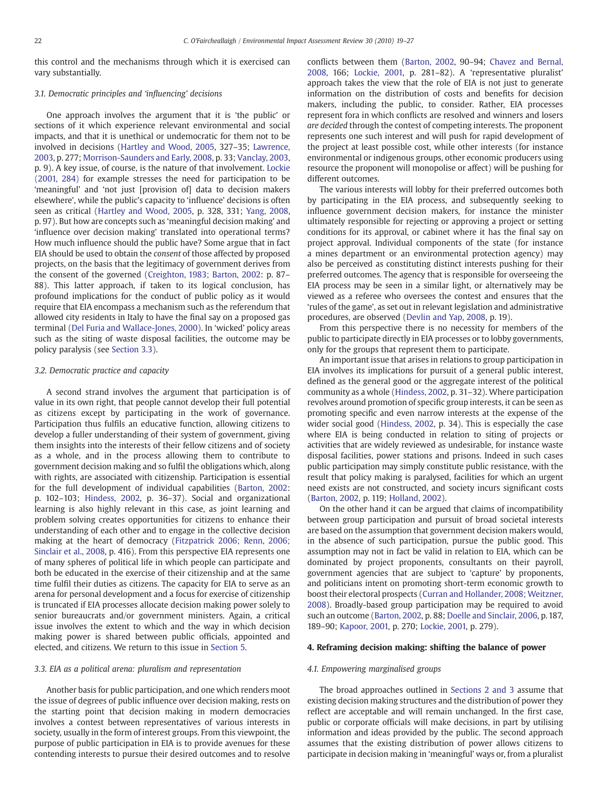<span id="page-3-0"></span>this control and the mechanisms through which it is exercised can vary substantially.

#### 3.1. Democratic principles and 'influencing' decisions

One approach involves the argument that it is 'the public' or sections of it which experience relevant environmental and social impacts, and that it is unethical or undemocratic for them not to be involved in decisions ([Hartley and Wood, 2005](#page-7-0), 327–35; [Lawrence,](#page-7-0) [2003](#page-7-0), p. 277; [Morrison-Saunders and Early, 2008](#page-7-0), p. 33; [Vanclay, 2003,](#page-8-0) p. 9). A key issue, of course, is the nature of that involvement. [Lockie](#page-7-0) [\(2001, 284\)](#page-7-0) for example stresses the need for participation to be 'meaningful' and 'not just [provision of] data to decision makers elsewhere', while the public's capacity to 'influence' decisions is often seen as critical [\(Hartley and Wood, 2005](#page-7-0), p. 328, 331; [Yang, 2008,](#page-8-0) p. 97). But how are concepts such as 'meaningful decision making' and 'influence over decision making' translated into operational terms? How much influence should the public have? Some argue that in fact EIA should be used to obtain the consent of those affected by proposed projects, on the basis that the legitimacy of government derives from the consent of the governed [\(Creighton, 1983; Barton, 2002:](#page-7-0) p. 87– 88). This latter approach, if taken to its logical conclusion, has profound implications for the conduct of public policy as it would require that EIA encompass a mechanism such as the referendum that allowed city residents in Italy to have the final say on a proposed gas terminal [\(Del Furia and Wallace-Jones, 2000\)](#page-7-0). In 'wicked' policy areas such as the siting of waste disposal facilities, the outcome may be policy paralysis (see Section 3.3).

#### 3.2. Democratic practice and capacity

A second strand involves the argument that participation is of value in its own right, that people cannot develop their full potential as citizens except by participating in the work of governance. Participation thus fulfils an educative function, allowing citizens to develop a fuller understanding of their system of government, giving them insights into the interests of their fellow citizens and of society as a whole, and in the process allowing them to contribute to government decision making and so fulfil the obligations which, along with rights, are associated with citizenship. Participation is essential for the full development of individual capabilities [\(Barton, 2002](#page-7-0): p. 102–103; [Hindess, 2002](#page-7-0), p. 36–37). Social and organizational learning is also highly relevant in this case, as joint learning and problem solving creates opportunities for citizens to enhance their understanding of each other and to engage in the collective decision making at the heart of democracy [\(Fitzpatrick 2006; Renn, 2006;](#page-7-0) [Sinclair et al., 2008,](#page-7-0) p. 416). From this perspective EIA represents one of many spheres of political life in which people can participate and both be educated in the exercise of their citizenship and at the same time fulfil their duties as citizens. The capacity for EIA to serve as an arena for personal development and a focus for exercise of citizenship is truncated if EIA processes allocate decision making power solely to senior bureaucrats and/or government ministers. Again, a critical issue involves the extent to which and the way in which decision making power is shared between public officials, appointed and elected, and citizens. We return to this issue in [Section 5](#page-4-0).

#### 3.3. EIA as a political arena: pluralism and representation

Another basis for public participation, and one which renders moot the issue of degrees of public influence over decision making, rests on the starting point that decision making in modern democracies involves a contest between representatives of various interests in society, usually in the form of interest groups. From this viewpoint, the purpose of public participation in EIA is to provide avenues for these contending interests to pursue their desired outcomes and to resolve conflicts between them ([Barton, 2002,](#page-7-0) 90–94; [Chavez and Bernal,](#page-7-0) [2008](#page-7-0), 166; [Lockie, 2001,](#page-7-0) p. 281–82). A 'representative pluralist' approach takes the view that the role of EIA is not just to generate information on the distribution of costs and benefits for decision makers, including the public, to consider. Rather, EIA processes represent fora in which conflicts are resolved and winners and losers [are decided](#page-7-0) through the contest of competing interests. The proponent represents one such interest and will push for rapid development of the project at least possible cost, while other interests (for instance environmental or indigenous groups, other economic producers using resource the proponent will monopolise or affect) will be pushing for different outcomes.

The various interests will lobby for their preferred outcomes both by participating in the EIA process, and subsequently seeking to influence government decision makers, for instance the minister ultimately responsible for rejecting or approving a project or setting conditions for its approval, or cabinet where it has the final say on project approval. Individual components of the state (for instance a mines department or an environmental protection agency) may also be perceived as constituting distinct interests pushing for their preferred outcomes. The agency that is responsible for overseeing the EIA process may be seen in a similar light, or alternatively may be viewed as a referee who oversees the contest and ensures that the 'rules of the game', as set out in relevant legislation and administrative procedures, are observed ([Devlin and Yap, 2008,](#page-7-0) p. 19).

From this perspective there is no necessity for members of the public to participate directly in EIA processes or to lobby governments, only for the groups that represent them to participate.

An important issue that arises in relations to group participation in EIA involves its implications for pursuit of a general public interest, defined as the general good or the aggregate interest of the political community as a whole ([Hindess, 2002,](#page-7-0) p. 31–32). Where participation revolves around promotion of specific group interests, it can be seen as promoting specific and even narrow interests at the expense of the wider social good ([Hindess, 2002,](#page-7-0) p. 34). This is especially the case where EIA is being conducted in relation to siting of projects or activities that are widely reviewed as undesirable, for instance waste disposal facilities, power stations and prisons. Indeed in such cases public participation may simply constitute public resistance, with the result that policy making is paralysed, facilities for which an urgent need exists are not constructed, and society incurs significant costs [\(Barton, 2002](#page-7-0), p. 119; [Holland, 2002](#page-7-0)).

On the other hand it can be argued that claims of incompatibility between group participation and pursuit of broad societal interests are based on the assumption that government decision makers would, in the absence of such participation, pursue the public good. This assumption may not in fact be valid in relation to EIA, which can be dominated by project proponents, consultants on their payroll, government agencies that are subject to 'capture' by proponents, and politicians intent on promoting short-term economic growth to boost their electoral prospects ([Curran and Hollander, 2008; Weitzner,](#page-7-0) [2008](#page-7-0)). Broadly-based group participation may be required to avoid such an outcome ([Barton, 2002,](#page-7-0) p. 88; [Doelle and Sinclair, 2006](#page-7-0), p. 187, 189–90; [Kapoor, 2001,](#page-7-0) p. 270; [Lockie, 2001,](#page-7-0) p. 279).

#### 4. Reframing decision making: shifting the balance of power

#### 4.1. Empowering marginalised groups

The broad approaches outlined in [Sections 2 and 3](#page-1-0) assume that existing decision making structures and the distribution of power they reflect are acceptable and will remain unchanged. In the first case, public or corporate officials will make decisions, in part by utilising information and ideas provided by the public. The second approach assumes that the existing distribution of power allows citizens to participate in decision making in 'meaningful' ways or, from a pluralist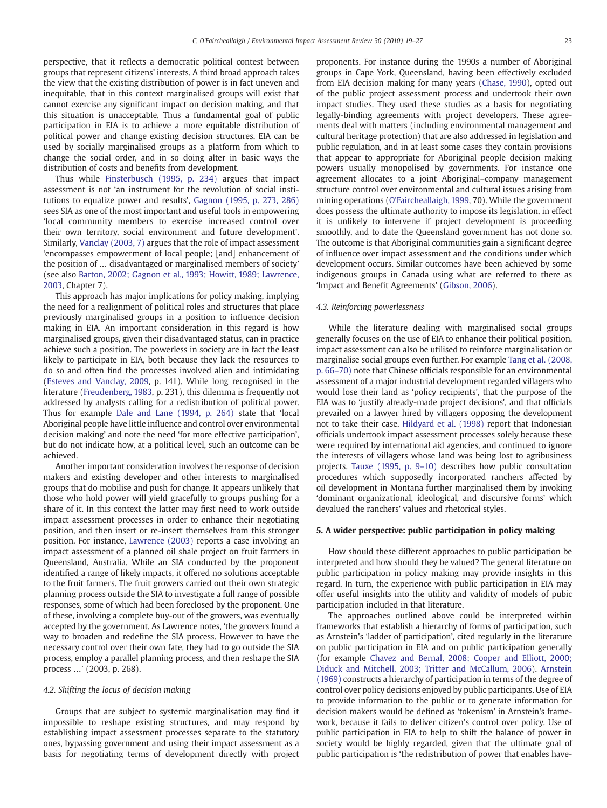<span id="page-4-0"></span>perspective, that it reflects a democratic political contest between groups that represent citizens' interests. A third broad approach takes the view that the existing distribution of power is in fact uneven and inequitable, that in this context marginalised groups will exist that cannot exercise any significant impact on decision making, and that this situation is unacceptable. Thus a fundamental goal of public participation in EIA is to achieve a more equitable distribution of political power and change existing decision structures. EIA can be used by socially marginalised groups as a platform from which to change the social order, and in so doing alter in basic ways the distribution of costs and benefits from development.

Thus while [Finsterbusch \(1995, p. 234\)](#page-7-0) argues that impact assessment is not 'an instrument for the revolution of social institutions to equalize power and results', [Gagnon \(1995, p. 273, 286\)](#page-7-0) sees SIA as one of the most important and useful tools in empowering 'local community members to exercise increased control over their own territory, social environment and future development'. Similarly, [Vanclay \(2003, 7\)](#page-8-0) argues that the role of impact assessment 'encompasses empowerment of local people; [and] enhancement of the position of … disadvantaged or marginalised members of society' (see also [Barton, 2002; Gagnon et al., 1993; Howitt, 1989; Lawrence,](#page-7-0) [2003](#page-7-0), Chapter 7).

This approach has major implications for policy making, implying the need for a realignment of political roles and structures that place previously marginalised groups in a position to influence decision making in EIA. An important consideration in this regard is how marginalised groups, given their disadvantaged status, can in practice achieve such a position. The powerless in society are in fact the least likely to participate in EIA, both because they lack the resources to do so and often find the processes involved alien and intimidating [\(Esteves and Vanclay, 2009,](#page-7-0) p. 141). While long recognised in the literature [\(Freudenberg, 1983](#page-7-0), p. 231), this dilemma is frequently not addressed by analysts calling for a redistribution of political power. Thus for example [Dale and Lane \(1994, p. 264\)](#page-7-0) state that 'local Aboriginal people have little influence and control over environmental decision making' and note the need 'for more effective participation', but do not indicate how, at a political level, such an outcome can be achieved.

Another important consideration involves the response of decision makers and existing developer and other interests to marginalised groups that do mobilise and push for change. It appears unlikely that those who hold power will yield gracefully to groups pushing for a share of it. In this context the latter may first need to work outside impact assessment processes in order to enhance their negotiating position, and then insert or re-insert themselves from this stronger position. For instance, [Lawrence \(2003\)](#page-7-0) reports a case involving an impact assessment of a planned oil shale project on fruit farmers in Queensland, Australia. While an SIA conducted by the proponent identified a range of likely impacts, it offered no solutions acceptable to the fruit farmers. The fruit growers carried out their own strategic planning process outside the SIA to investigate a full range of possible responses, some of which had been foreclosed by the proponent. One of these, involving a complete buy-out of the growers, was eventually accepted by the government. As Lawrence notes, 'the growers found a way to broaden and redefine the SIA process. However to have the necessary control over their own fate, they had to go outside the SIA process, employ a parallel planning process, and then reshape the SIA process …' (2003, p. 268).

#### 4.2. Shifting the locus of decision making

Groups that are subject to systemic marginalisation may find it impossible to reshape existing structures, and may respond by establishing impact assessment processes separate to the statutory ones, bypassing government and using their impact assessment as a basis for negotiating terms of development directly with project proponents. For instance during the 1990s a number of Aboriginal groups in Cape York, Queensland, having been effectively excluded from EIA decision making for many years [\(Chase, 1990\)](#page-7-0), opted out of the public project assessment process and undertook their own impact studies. They used these studies as a basis for negotiating legally-binding agreements with project developers. These agreements deal with matters (including environmental management and cultural heritage protection) that are also addressed in legislation and public regulation, and in at least some cases they contain provisions that appear to appropriate for Aboriginal people decision making powers usually monopolised by governments. For instance one agreement allocates to a joint Aboriginal–company management structure control over environmental and cultural issues arising from mining operations ([O'Faircheallaigh, 1999](#page-7-0), 70). While the government does possess the ultimate authority to impose its legislation, in effect it is unlikely to intervene if project development is proceeding smoothly, and to date the Queensland government has not done so. The outcome is that Aboriginal communities gain a significant degree of influence over impact assessment and the conditions under which development occurs. Similar outcomes have been achieved by some indigenous groups in Canada using what are referred to there as 'Impact and Benefit Agreements' [\(Gibson, 2006\)](#page-7-0).

#### 4.3. Reinforcing powerlessness

While the literature dealing with marginalised social groups generally focuses on the use of EIA to enhance their political position, impact assessment can also be utilised to reinforce marginalisation or marginalise social groups even further. For example [Tang et al. \(2008,](#page-8-0) [p. 66](#page-8-0)–70) note that Chinese officials responsible for an environmental assessment of a major industrial development regarded villagers who would lose their land as 'policy recipients', that the purpose of the EIA was to 'justify already-made project decisions', and that officials prevailed on a lawyer hired by villagers opposing the development not to take their case. [Hildyard et al. \(1998\)](#page-7-0) report that Indonesian officials undertook impact assessment processes solely because these were required by international aid agencies, and continued to ignore the interests of villagers whose land was being lost to agribusiness projects. [Tauxe \(1995, p. 9](#page-8-0)–10) describes how public consultation procedures which supposedly incorporated ranchers affected by oil development in Montana further marginalised them by invoking 'dominant organizational, ideological, and discursive forms' which devalued the ranchers' values and rhetorical styles.

#### 5. A wider perspective: public participation in policy making

How should these different approaches to public participation be interpreted and how should they be valued? The general literature on public participation in policy making may provide insights in this regard. In turn, the experience with public participation in EIA may offer useful insights into the utility and validity of models of pubic participation included in that literature.

The approaches outlined above could be interpreted within frameworks that establish a hierarchy of forms of participation, such as Arnstein's 'ladder of participation', cited regularly in the literature on public participation in EIA and on public participation generally (for example [Chavez and Bernal, 2008; Cooper and Elliott, 2000;](#page-7-0) [Diduck and Mitchell, 2003; Tritter and McCallum, 2006\)](#page-7-0). [Arnstein](#page-7-0) [\(1969\)](#page-7-0) constructs a hierarchy of participation in terms of the degree of control over policy decisions enjoyed by public participants. Use of EIA to provide information to the public or to generate information for decision makers would be defined as 'tokenism' in Arnstein's framework, because it fails to deliver citizen's control over policy. Use of public participation in EIA to help to shift the balance of power in society would be highly regarded, given that the ultimate goal of public participation is 'the redistribution of power that enables have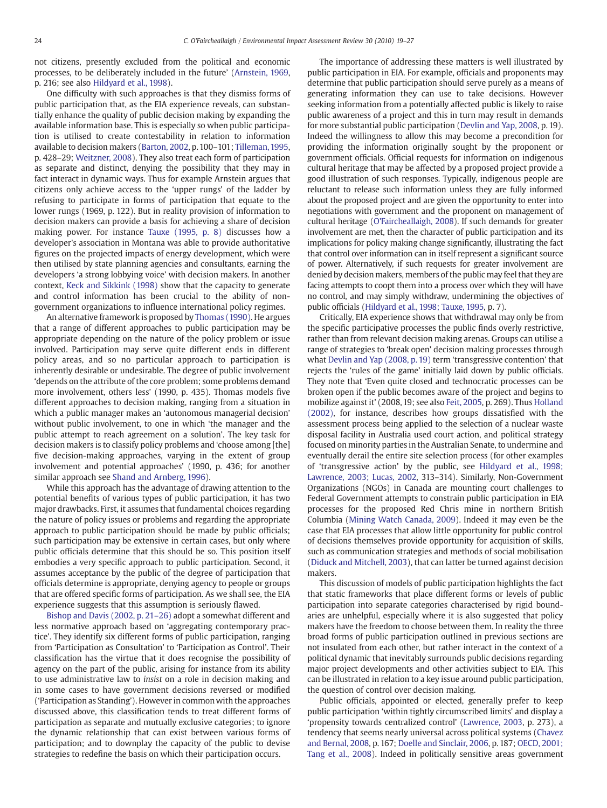not citizens, presently excluded from the political and economic processes, to be deliberately included in the future' [\(Arnstein, 1969,](#page-7-0) p. 216; see also [Hildyard et al., 1998](#page-7-0)).

One difficulty with such approaches is that they dismiss forms of public participation that, as the EIA experience reveals, can substantially enhance the quality of public decision making by expanding the available information base. This is especially so when public participation is utilised to create contestability in relation to information available to decision makers ([Barton, 2002,](#page-7-0) p. 100–101; [Tilleman,1995,](#page-8-0) p. 428–29; [Weitzner, 2008](#page-8-0)). They also treat each form of participation as separate and distinct, denying the possibility that they may in fact interact in dynamic ways. Thus for example Arnstein argues that citizens only achieve access to the 'upper rungs' of the ladder by refusing to participate in forms of participation that equate to the lower rungs (1969, p. 122). But in reality provision of information to decision makers can provide a basis for achieving a share of decision making power. For instance [Tauxe \(1995, p. 8\)](#page-8-0) discusses how a developer's association in Montana was able to provide authoritative figures on the projected impacts of energy development, which were then utilised by state planning agencies and consultants, earning the developers 'a strong lobbying voice' with decision makers. In another context, [Keck and Sikkink \(1998\)](#page-7-0) show that the capacity to generate and control information has been crucial to the ability of nongovernment organizations to influence international policy regimes.

An alternative framework is proposed by [Thomas \(1990\)](#page-8-0). He argues that a range of different approaches to public participation may be appropriate depending on the nature of the policy problem or issue involved. Participation may serve quite different ends in different policy areas, and so no particular approach to participation is inherently desirable or undesirable. The degree of public involvement 'depends on the attribute of the core problem; some problems demand more involvement, others less' (1990, p. 435). Thomas models five different approaches to decision making, ranging from a situation in which a public manager makes an 'autonomous managerial decision' without public involvement, to one in which 'the manager and the public attempt to reach agreement on a solution'. The key task for decision makers is to classify policy problems and 'choose among [the] five decision-making approaches, varying in the extent of group involvement and potential approaches' (1990, p. 436; for another similar approach see [Shand and Arnberg, 1996\)](#page-8-0).

While this approach has the advantage of drawing attention to the potential benefits of various types of public participation, it has two major drawbacks. First, it assumes that fundamental choices regarding the nature of policy issues or problems and regarding the appropriate approach to public participation should be made by public officials; such participation may be extensive in certain cases, but only where public officials determine that this should be so. This position itself embodies a very specific approach to public participation. Second, it assumes acceptance by the public of the degree of participation that officials determine is appropriate, denying agency to people or groups that are offered specific forms of participation. As we shall see, the EIA experience suggests that this assumption is seriously flawed.

[Bishop and Davis \(2002, p. 21](#page-7-0)–26) adopt a somewhat different and less normative approach based on 'aggregating contemporary practice'. They identify six different forms of public participation, ranging from 'Participation as Consultation' to 'Participation as Control'. Their classification has the virtue that it does recognise the possibility of agency on the part of the public, arising for instance from its ability to use administrative law to insist on a role in decision making and in some cases to have government decisions reversed or modified ('Participation as Standing'). However in common with the approaches discussed above, this classification tends to treat different forms of participation as separate and mutually exclusive categories; to ignore the dynamic relationship that can exist between various forms of participation; and to downplay the capacity of the public to devise strategies to redefine the basis on which their participation occurs.

The importance of addressing these matters is well illustrated by public participation in EIA. For example, officials and proponents may determine that public participation should serve purely as a means of generating information they can use to take decisions. However seeking information from a potentially affected public is likely to raise public awareness of a project and this in turn may result in demands for more substantial public participation ([Devlin and Yap, 2008,](#page-7-0) p. 19). Indeed the willingness to allow this may become a precondition for providing the information originally sought by the proponent or government officials. Official requests for information on indigenous cultural heritage that may be affected by a proposed project provide a good illustration of such responses. Typically, indigenous people are reluctant to release such information unless they are fully informed about the proposed project and are given the opportunity to enter into negotiations with government and the proponent on management of cultural heritage ([O'Faircheallaigh, 2008](#page-7-0)). If such demands for greater involvement are met, then the character of public participation and its implications for policy making change significantly, illustrating the fact that control over information can in itself represent a significant source of power. Alternatively, if such requests for greater involvement are denied by decision makers, members of the public may feel that they are facing attempts to coopt them into a process over which they will have no control, and may simply withdraw, undermining the objectives of public officials [\(Hildyard et al., 1998; Tauxe, 1995,](#page-7-0) p. 7).

Critically, EIA experience shows that withdrawal may only be from the specific participative processes the public finds overly restrictive, rather than from relevant decision making arenas. Groups can utilise a range of strategies to 'break open' decision making processes through what [Devlin and Yap \(2008, p. 19\)](#page-7-0) term 'transgressive contention' that rejects the 'rules of the game' initially laid down by public officials. They note that 'Even quite closed and technocratic processes can be broken open if the public becomes aware of the project and begins to mobilize against it' (2008, 19; see also [Feit, 2005](#page-7-0), p. 269). Thus [Holland](#page-7-0) [\(2002\)](#page-7-0), for instance, describes how groups dissatisfied with the assessment process being applied to the selection of a nuclear waste disposal facility in Australia used court action, and political strategy focused on minority parties in the Australian Senate, to undermine and eventually derail the entire site selection process (for other examples of 'transgressive action' by the public, see [Hildyard et al., 1998;](#page-7-0) [Lawrence, 2003; Lucas, 2002,](#page-7-0) 313–314). Similarly, Non-Government Organizations (NGOs) in Canada are mounting court challenges to Federal Government attempts to constrain public participation in EIA processes for the proposed Red Chris mine in northern British Columbia ([Mining Watch Canada, 2009](#page-7-0)). Indeed it may even be the case that EIA processes that allow little opportunity for public control of decisions themselves provide opportunity for acquisition of skills, such as communication strategies and methods of social mobilisation [\(Diduck and Mitchell, 2003\)](#page-7-0), that can latter be turned against decision makers.

This discussion of models of public participation highlights the fact that static frameworks that place different forms or levels of public participation into separate categories characterised by rigid boundaries are unhelpful, especially where it is also suggested that policy makers have the freedom to choose between them. In reality the three broad forms of public participation outlined in previous sections are not insulated from each other, but rather interact in the context of a political dynamic that inevitably surrounds public decisions regarding major project developments and other activities subject to EIA. This can be illustrated in relation to a key issue around public participation, the question of control over decision making.

Public officials, appointed or elected, generally prefer to keep public participation 'within tightly circumscribed limits' and display a 'propensity towards centralized control' [\(Lawrence, 2003,](#page-7-0) p. 273), a tendency that seems nearly universal across political systems [\(Chavez](#page-7-0) [and Bernal, 2008](#page-7-0), p. 167; [Doelle and Sinclair, 2006](#page-7-0), p. 187; [OECD, 2001;](#page-7-0) [Tang et al., 2008\)](#page-7-0). Indeed in politically sensitive areas government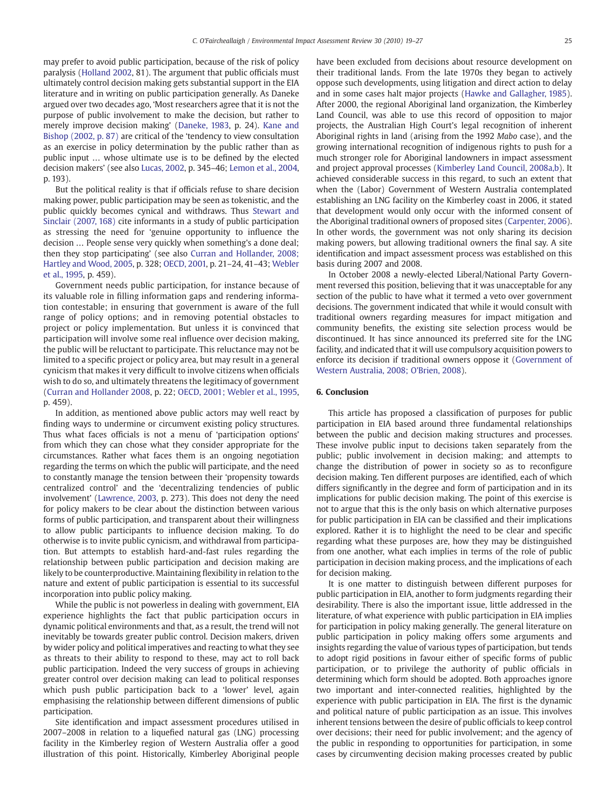may prefer to avoid public participation, because of the risk of policy paralysis [\(Holland 2002](#page-7-0), 81). The argument that public officials must ultimately control decision making gets substantial support in the EIA literature and in writing on public participation generally. As Daneke argued over two decades ago, 'Most researchers agree that it is not the purpose of public involvement to make the decision, but rather to merely improve decision making' ([Daneke, 1983,](#page-7-0) p. 24). [Kane and](#page-7-0) [Bishop \(2002, p. 87\)](#page-7-0) are critical of the 'tendency to view consultation as an exercise in policy determination by the public rather than as public input … whose ultimate use is to be defined by the elected decision makers' (see also [Lucas, 2002,](#page-7-0) p. 345–46; [Lemon et al., 2004,](#page-7-0) p. 193).

But the political reality is that if officials refuse to share decision making power, public participation may be seen as tokenistic, and the public quickly becomes cynical and withdraws. Thus [Stewart and](#page-8-0) [Sinclair \(2007, 168\)](#page-8-0) cite informants in a study of public participation as stressing the need for 'genuine opportunity to influence the decision … People sense very quickly when something's a done deal; then they stop participating' (see also [Curran and Hollander, 2008;](#page-7-0) [Hartley and Wood, 2005](#page-7-0), p. 328; [OECD, 2001,](#page-7-0) p. 21–24, 41–43; [Webler](#page-8-0) [et al., 1995](#page-8-0), p. 459).

Government needs public participation, for instance because of its valuable role in filling information gaps and rendering information contestable; in ensuring that government is aware of the full range of policy options; and in removing potential obstacles to project or policy implementation. But unless it is convinced that participation will involve some real influence over decision making, the public will be reluctant to participate. This reluctance may not be limited to a specific project or policy area, but may result in a general cynicism that makes it very difficult to involve citizens when officials wish to do so, and ultimately threatens the legitimacy of government [\(Curran and Hollander 2008](#page-7-0), p. 22; [OECD, 2001; Webler et al., 1995,](#page-7-0) p. 459).

In addition, as mentioned above public actors may well react by finding ways to undermine or circumvent existing policy structures. Thus what faces officials is not a menu of 'participation options' from which they can chose what they consider appropriate for the circumstances. Rather what faces them is an ongoing negotiation regarding the terms on which the public will participate, and the need to constantly manage the tension between their 'propensity towards centralized control' and the 'decentralizing tendencies of public involvement' [\(Lawrence, 2003,](#page-7-0) p. 273). This does not deny the need for policy makers to be clear about the distinction between various forms of public participation, and transparent about their willingness to allow public participants to influence decision making. To do otherwise is to invite public cynicism, and withdrawal from participation. But attempts to establish hard-and-fast rules regarding the relationship between public participation and decision making are likely to be counterproductive. Maintaining flexibility in relation to the nature and extent of public participation is essential to its successful incorporation into public policy making.

While the public is not powerless in dealing with government, EIA experience highlights the fact that public participation occurs in dynamic political environments and that, as a result, the trend will not inevitably be towards greater public control. Decision makers, driven by wider policy and political imperatives and reacting to what they see as threats to their ability to respond to these, may act to roll back public participation. Indeed the very success of groups in achieving greater control over decision making can lead to political responses which push public participation back to a 'lower' level, again emphasising the relationship between different dimensions of public participation.

Site identification and impact assessment procedures utilised in 2007–2008 in relation to a liquefied natural gas (LNG) processing facility in the Kimberley region of Western Australia offer a good illustration of this point. Historically, Kimberley Aboriginal people have been excluded from decisions about resource development on their traditional lands. From the late 1970s they began to actively oppose such developments, using litigation and direct action to delay and in some cases halt major projects [\(Hawke and Gallagher, 1985](#page-7-0)). After 2000, the regional Aboriginal land organization, the Kimberley Land Council, was able to use this record of opposition to major projects, the Australian High Court's legal recognition of inherent Aboriginal rights in land (arising from the 1992 Mabo case), and the growing international recognition of indigenous rights to push for a much stronger role for Aboriginal landowners in impact assessment and project approval processes ([Kimberley Land Council, 2008a,b\)](#page-7-0). It achieved considerable success in this regard, to such an extent that when the (Labor) Government of Western Australia contemplated establishing an LNG facility on the Kimberley coast in 2006, it stated that development would only occur with the informed consent of the Aboriginal traditional owners of proposed sites ([Carpenter, 2006](#page-7-0)). In other words, the government was not only sharing its decision making powers, but allowing traditional owners the final say. A site identification and impact assessment process was established on this basis during 2007 and 2008.

In October 2008 a newly-elected Liberal/National Party Government reversed this position, believing that it was unacceptable for any section of the public to have what it termed a veto over government decisions. The government indicated that while it would consult with traditional owners regarding measures for impact mitigation and community benefits, the existing site selection process would be discontinued. It has since announced its preferred site for the LNG facility, and indicated that it will use compulsory acquisition powers to enforce its decision if traditional owners oppose it ([Government of](#page-7-0) [Western Australia, 2008; O'Brien, 2008\)](#page-7-0).

#### 6. Conclusion

This article has proposed a classification of purposes for public participation in EIA based around three fundamental relationships between the public and decision making structures and processes. These involve public input to decisions taken separately from the public; public involvement in decision making; and attempts to change the distribution of power in society so as to reconfigure decision making. Ten different purposes are identified, each of which differs significantly in the degree and form of participation and in its implications for public decision making. The point of this exercise is not to argue that this is the only basis on which alternative purposes for public participation in EIA can be classified and their implications explored. Rather it is to highlight the need to be clear and specific regarding what these purposes are, how they may be distinguished from one another, what each implies in terms of the role of public participation in decision making process, and the implications of each for decision making.

It is one matter to distinguish between different purposes for public participation in EIA, another to form judgments regarding their desirability. There is also the important issue, little addressed in the literature, of what experience with public participation in EIA implies for participation in policy making generally. The general literature on public participation in policy making offers some arguments and insights regarding the value of various types of participation, but tends to adopt rigid positions in favour either of specific forms of public participation, or to privilege the authority of public officials in determining which form should be adopted. Both approaches ignore two important and inter-connected realities, highlighted by the experience with public participation in EIA. The first is the dynamic and political nature of public participation as an issue. This involves inherent tensions between the desire of public officials to keep control over decisions; their need for public involvement; and the agency of the public in responding to opportunities for participation, in some cases by circumventing decision making processes created by public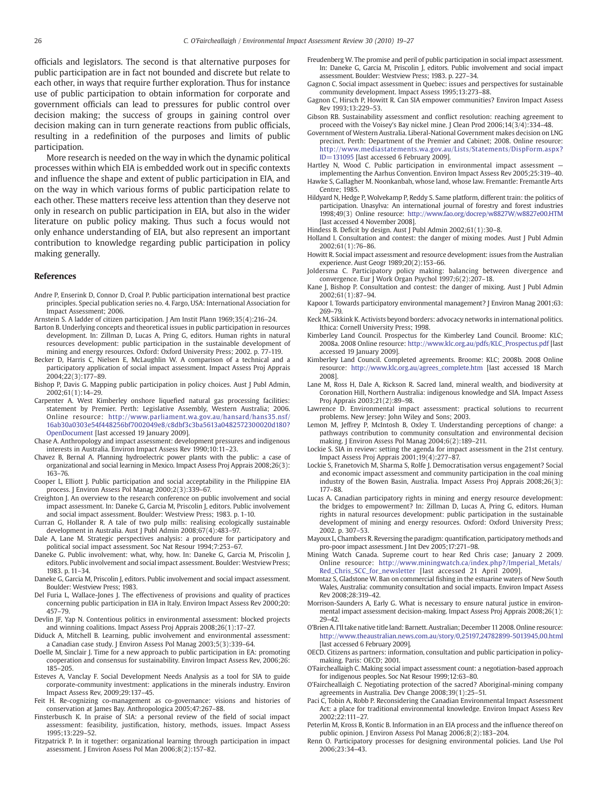<span id="page-7-0"></span>officials and legislators. The second is that alternative purposes for public participation are in fact not bounded and discrete but relate to each other, in ways that require further exploration. Thus for instance use of public participation to obtain information for corporate and government officials can lead to pressures for public control over decision making; the success of groups in gaining control over decision making can in turn generate reactions from public officials, resulting in a redefinition of the purposes and limits of public participation.

More research is needed on the way in which the dynamic political processes within which EIA is embedded work out in specific contexts and influence the shape and extent of public participation in EIA, and on the way in which various forms of public participation relate to each other. These matters receive less attention than they deserve not only in research on public participation in EIA, but also in the wider literature on public policy making. Thus such a focus would not only enhance understanding of EIA, but also represent an important contribution to knowledge regarding public participation in policy making generally.

#### References

- Andre P, Enserink D, Connor D, Croal P. Public participation international best practice principles. Special publication series no. 4. Fargo, USA: International Association for Impact Assessment; 2006.
- Arnstein S. A ladder of citizen participation. J Am Instit Plann 1969;35(4):216–24.
- Barton B. Underlying concepts and theoretical issues in public participation in resources development. In: Zillman D, Lucas A, Pring G, editors. Human rights in natural resources development: public participation in the sustainable development of mining and energy resources. Oxford: Oxford University Press; 2002. p. 77-119.
- Becker D, Harris C, Nielsen E, McLaughlin W. A comparison of a technical and a participatory application of social impact assessment. Impact Assess Proj Apprais  $2004;22(3):177-89.$
- Bishop P, Davis G. Mapping public participation in policy choices. Aust J Publ Admin, 2002;61(1):14–29.
- Carpenter A. West Kimberley onshore liquefied natural gas processing facilities: statement by Premier. Perth: Legislative Assembly, Western Australia; 2006. Online resource: [http://www.parliament.wa.gov.au/hansard/hans35.nsf/](http://www.parliament.wa.gov.au/hansard/hans35.nsf/16ab30a0303e54f448256bf7002049e8/c8dbf3c3ba5613a0482572300020d180?OpenDocument) [16ab30a0303e54f448256bf7002049e8/c8dbf3c3ba5613a0482572300020d180?](http://www.parliament.wa.gov.au/hansard/hans35.nsf/16ab30a0303e54f448256bf7002049e8/c8dbf3c3ba5613a0482572300020d180?OpenDocument) [OpenDocument](http://www.parliament.wa.gov.au/hansard/hans35.nsf/16ab30a0303e54f448256bf7002049e8/c8dbf3c3ba5613a0482572300020d180?OpenDocument) [last accessed 19 January 2009].
- Chase A. Anthropology and impact assessment: development pressures and indigenous interests in Australia. Environ Impact Assess Rev 1990;10:11–23.
- Chavez B, Bernal A. Planning hydroelectric power plants with the public: a case of organizational and social learning in Mexico. Impact Assess Proj Apprais 2008;26(3): 163–76.
- Cooper L, Elliott J. Public participation and social acceptability in the Philippine EIA process. J Environ Assess Pol Manag 2000;2(3):339–67.
- Creighton J. An overview to the research conference on public involvement and social impact assessment. In: Daneke G, Garcia M, Priscolin J, editors. Public involvement and social impact assessment. Boulder: Westview Press; 1983. p. 1-10.
- Curran G, Hollander R. A tale of two pulp mills: realising ecologically sustainable development in Australia. Aust J Publ Admin 2008;67(4):483–97.
- Dale A, Lane M. Strategic perspectives analysis: a procedure for participatory and political social impact assessment. Soc Nat Resour 1994;7:253–67.
- Daneke G. Public involvement: what, why, how. In: Daneke G, Garcia M, Priscolin J, editors. Public involvement and social impact assessment. Boulder: Westview Press; 1983. p. 11–34.
- Daneke G, Garcia M, Priscolin J, editors. Public involvement and social impact assessment. Boulder: Westview Press; 1983.
- Del Furia L, Wallace-Jones J. The effectiveness of provisions and quality of practices concerning public participation in EIA in Italy. Environ Impact Assess Rev 2000;20: 457–79.
- Devlin JF, Yap N. Contentious politics in environmental assessment: blocked projects and winning coalitions. Impact Assess Proj Apprais 2008;26(1):17–27.
- Diduck A, Mitchell B. Learning, public involvement and environmental assessment: a Canadian case study. J Environ Assess Pol Manag 2003;5(3):339–64.
- Doelle M, Sinclair J. Time for a new approach to public participation in EA: promoting cooperation and consensus for sustainability. Environ Impact Assess Rev, 2006;26: 185–205.
- Esteves A, Vanclay F. Social Development Needs Analysis as a tool for SIA to guide corporate-community investment: applications in the minerals industry. Environ Impact Assess Rev, 2009;29:137–45.
- Feit H. Re-cognizing co-management as co-governance: visions and histories of conservation at James Bay. Anthropologica 2005;47:267–88.
- Finsterbusch K. In praise of SIA: a personal review of the field of social impact assessment: feasibility, justification, history, methods, issues. Impact Assess 1995;13:229–52.
- Fitzpatrick P. In it together: organizational learning through participation in impact assessment. J Environ Assess Pol Man 2006;8(2):157–82.
- Freudenberg W. The promise and peril of public participation in social impact assessment. In: Daneke G, Garcia M, Priscolin J, editors. Public involvement and social impact assessment. Boulder: Westview Press; 1983. p. 227–34.
- Gagnon C. Social impact assessment in Quebec: issues and perspectives for sustainable community development. Impact Assess 1995;13:273–88.
- Gagnon C, Hirsch P, Howitt R. Can SIA empower communities? Environ Impact Assess Rev 1993;13:229–53.
- Gibson RB. Sustainability assessment and conflict resolution: reaching agreement to proceed with the Voisey's Bay nickel mine. J Clean Prod 2006;14(3/4):334–48.
- Government of Western Australia. Liberal-National Government makes decision on LNG precinct. Perth: Department of the Premier and Cabinet; 2008. Online resource: [http://www.mediastatements.wa.gov.au/Lists/Statements/DispForm.aspx?](http://www.mediastatements.wa.gov.au/Lists/Statements/DispForm.aspx?ID=131095) [ID=131095](http://www.mediastatements.wa.gov.au/Lists/Statements/DispForm.aspx?ID=131095) [last accessed 6 February 2009].

Hartley N, Wood C. Public participation in environmental impact assessment implementing the Aarhus Convention. Environ Impact Assess Rev 2005;25:319–40.

- Hawke S, Gallagher M. Noonkanbah, whose land, whose law. Fremantle: Fremantle Arts Centre; 1985.
- Hildyard N, Hedge P, Wolvekamp P, Reddy S. Same platform, different train: the politics of participation. Unasylva: An international journal of forestry and forest industries 1998;49(3) Online resource: <http://www.fao.org/docrep/w8827W/w8827e00.HTM> [last accessed 4 November 2008].
- Hindess B. Deficit by design. Aust J Publ Admin 2002;61(1):30–8.
- Holland I. Consultation and contest: the danger of mixing modes. Aust J Publ Admin 2002;61(1):76–86.
- Howitt R. Social impact assessment and resource development: issues from the Australian experience. Aust Geogr 1989;20(2):153–66.
- Joldersma C. Participatory policy making: balancing between divergence and convergence. Eur J Work Organ Psychol 1997;6(2):207–18.
- Kane J, Bishop P. Consultation and contest: the danger of mixing. Aust J Publ Admin 2002;61(1):87–94.
- Kapoor I. Towards participatory environmental management? J Environ Manag 2001;63: 269–79.
- Keck M, Sikkink K. Activists beyond borders: advocacy networks in international politics. Ithica: Cornell University Press; 1998.
- Kimberley Land Council. Prospectus for the Kimberley Land Council. Broome: KLC; 2008a. 2008 Online resource: [http://www.klc.org.au/pdfs/KLC\\_Prospectus.pdf](http://www.klc.org.au/pdfs/KLC_Prospectus.pdf) [last accessed 19 January 2009].
- Kimberley Land Council. Completed agreements. Broome: KLC; 2008b. 2008 Online resource: [http://www.klc.org.au/agrees\\_complete.htm](http://www.klc.org.au/agrees_complete.htm) [last accessed 18 March 2008].
- Lane M, Ross H, Dale A, Rickson R. Sacred land, mineral wealth, and biodiversity at Coronation Hill, Northern Australia: indigenous knowledge and SIA. Impact Assess Proj Apprais 2003;21(2):89–98.
- Lawrence D. Environmental impact assessment: practical solutions to recurrent problems. New Jersey: John Wiley and Sons; 2003.
- Lemon M, Jeffrey P, McIntosh B, Oxley T. Understanding perceptions of change: a pathways contribution to community consultation and environmental decision making. J Environ Assess Pol Manag 2004;6(2):189–211.
- Lockie S. SIA in review: setting the agenda for impact assessment in the 21st century. Impact Assess Proj Apprais 2001;19(4):277–87.
- Lockie S, Franetovich M, Sharma S, Rolfe J. Democratisation versus engagement? Social and economic impact assessment and community participation in the coal mining industry of the Bowen Basin, Australia. Impact Assess Proj Apprais 2008;26(3): 177–88.
- Lucas A. Canadian participatory rights in mining and energy resource development: the bridges to empowerment? In: Zillman D, Lucas A, Pring G, editors. Human rights in natural resources development: public participation in the sustainable development of mining and energy resources. Oxford: Oxford University Press; 2002. p. 307–53.
- Mayoux L, Chambers R. Reversing the paradigm: quantification, participatory methods and pro-poor impact assessment. J Int Dev 2005;17:271–98.
- Mining Watch Canada. Supreme court to hear Red Chris case; January 2 2009. Online resource: [http://www.miningwatch.ca/index.php?/Imperial\\_Metals/](http://www.miningwatch.ca/index.php?/Imperial_Metals/Red_Chris_SCC_for_newsletter) [Red\\_Chris\\_SCC\\_for\\_newsletter](http://www.miningwatch.ca/index.php?/Imperial_Metals/Red_Chris_SCC_for_newsletter) [last accessed 21 April 2009].
- Momtaz S, Gladstone W. Ban on commercial fishing in the estuarine waters of New South Wales, Australia: community consultation and social impacts. Environ Impact Assess Rev 2008;28:319–42.
- Morrison-Saunders A, Early G. What is necessary to ensure natural justice in environmental impact assessment decision-making. Impact Assess Proj Apprais 2008;26(1): 29–42.
- O'Brien A. I'll take native titleland: Barnett. Australian; December 11 2008. Online resource: <http://www.theaustralian.news.com.au/story/0,25197,24782899-5013945,00.html> [last accessed 6 February 2009].
- OECD. Citizens as partners: information, consultation and public participation in policymaking. Paris: OECD; 2001.
- O'Faircheallaigh C. Making social impact assessment count: a negotiation-based approach for indigenous peoples. Soc Nat Resour 1999;12:63–80.
- O'Faircheallaigh C. Negotiating protection of the sacred? Aboriginal-mining company agreements in Australia. Dev Change 2008;39(1):25–51.
- Paci C, Tobin A, Robb P. Reconsidering the Canadian Environmental Impact Assessment Act: a place for traditional environmental knowledge. Environ Impact Assess Rev 2002;22:111–27.
- Peterlin M, Kross B, Kontic B. Information in an EIA process and the influence thereof on public opinion. J Environ Assess Pol Manag 2006;8(2):183–204.
- Renn O. Participatory processes for designing environmental policies. Land Use Pol 2006;23:34–43.